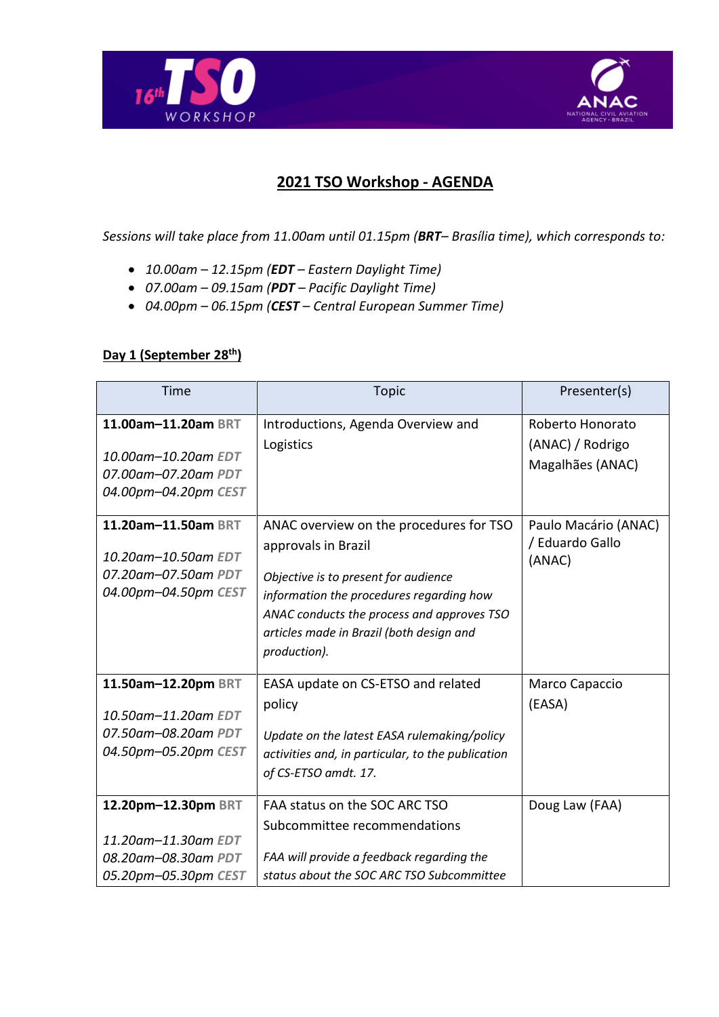



## **2021 TSO Workshop - AGENDA**

*Sessions will take place from 11.00am until 01.15pm (BRT– Brasília time), which corresponds to:*

- *10.00am – 12.15pm (EDT – Eastern Daylight Time)*
- *07.00am – 09.15am (PDT – Pacific Daylight Time)*
- *04.00pm – 06.15pm (CEST – Central European Summer Time)*

## **Day 1 (September 28th)**

| Time                                                                                      | <b>Topic</b>                                                                                                                                                                                                                                                 | Presenter(s)                                      |
|-------------------------------------------------------------------------------------------|--------------------------------------------------------------------------------------------------------------------------------------------------------------------------------------------------------------------------------------------------------------|---------------------------------------------------|
| 11.00am-11.20am BRT                                                                       | Introductions, Agenda Overview and                                                                                                                                                                                                                           | Roberto Honorato                                  |
| 10.00am-10.20am EDT<br>07.00am-07.20am PDT<br>04.00pm-04.20pm CEST                        | Logistics                                                                                                                                                                                                                                                    | (ANAC) / Rodrigo<br>Magalhães (ANAC)              |
| 11.20am-11.50am BRT<br>10.20am-10.50am EDT<br>07.20am-07.50am PDT<br>04.00pm-04.50pm CEST | ANAC overview on the procedures for TSO<br>approvals in Brazil<br>Objective is to present for audience<br>information the procedures regarding how<br>ANAC conducts the process and approves TSO<br>articles made in Brazil (both design and<br>production). | Paulo Macário (ANAC)<br>/ Eduardo Gallo<br>(ANAC) |
| 11.50am-12.20pm BRT<br>10.50am-11.20am EDT<br>07.50am-08.20am PDT<br>04.50pm-05.20pm CEST | EASA update on CS-ETSO and related<br>policy<br>Update on the latest EASA rulemaking/policy<br>activities and, in particular, to the publication<br>of CS-ETSO amdt. 17.                                                                                     | Marco Capaccio<br>(EASA)                          |
| 12.20pm-12.30pm BRT<br>11.20am-11.30am EDT<br>08.20am-08.30am PDT<br>05.20pm-05.30pm CEST | FAA status on the SOC ARC TSO<br>Subcommittee recommendations<br>FAA will provide a feedback regarding the<br>status about the SOC ARC TSO Subcommittee                                                                                                      | Doug Law (FAA)                                    |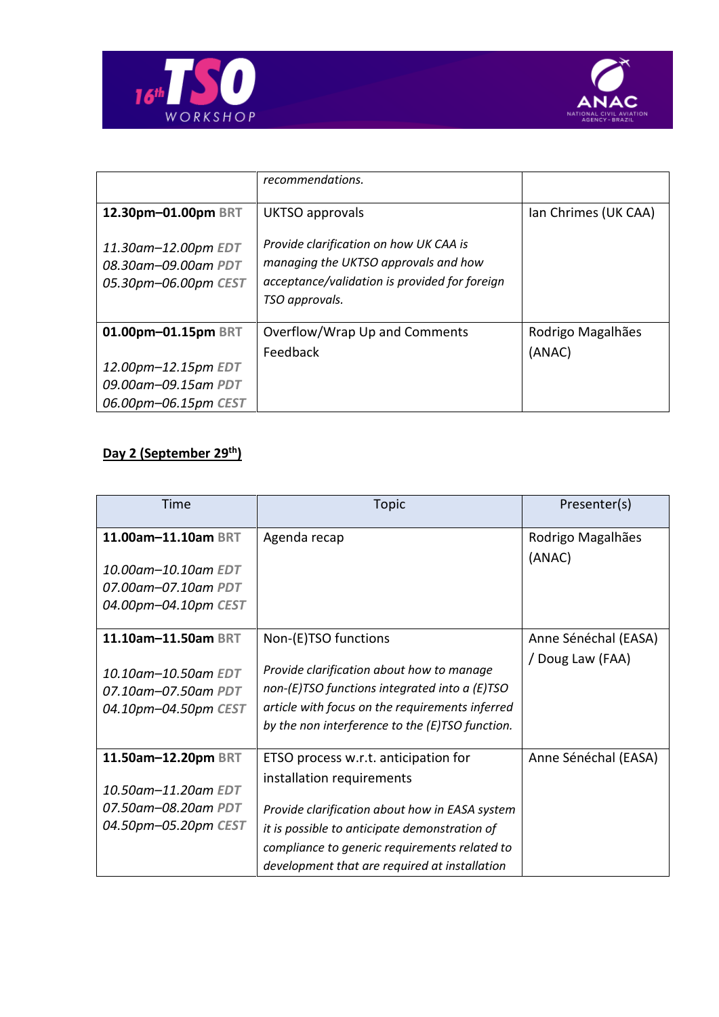



|                                                                    | recommendations.                                                                                                                                  |                      |
|--------------------------------------------------------------------|---------------------------------------------------------------------------------------------------------------------------------------------------|----------------------|
| 12.30pm-01.00pm BRT                                                | UKTSO approvals                                                                                                                                   | Ian Chrimes (UK CAA) |
| 11.30am-12.00pm EDT<br>08.30am-09.00am PDT<br>05.30pm-06.00pm CEST | Provide clarification on how UK CAA is<br>managing the UKTSO approvals and how<br>acceptance/validation is provided for foreign<br>TSO approvals. |                      |
| 01.00pm-01.15pm BRT                                                | Overflow/Wrap Up and Comments                                                                                                                     | Rodrigo Magalhães    |
|                                                                    | Feedback                                                                                                                                          | (ANAC)               |
| 12.00pm-12.15pm EDT                                                |                                                                                                                                                   |                      |
| 09.00am-09.15am PDT                                                |                                                                                                                                                   |                      |
| 06.00pm-06.15pm CEST                                               |                                                                                                                                                   |                      |

## **Day 2 (September 29 th)**

| Time                 | <b>Topic</b>                                         | Presenter(s)         |
|----------------------|------------------------------------------------------|----------------------|
| 11.00am-11.10am BRT  | Agenda recap                                         | Rodrigo Magalhães    |
| 10.00am-10.10am EDT  |                                                      | (ANAC)               |
| 07.00am-07.10am PDT  |                                                      |                      |
| 04.00pm-04.10pm CEST |                                                      |                      |
| 11.10am-11.50am BRT  | Non-(E)TSO functions                                 | Anne Sénéchal (EASA) |
|                      |                                                      | / Doug Law (FAA)     |
| 10.10am–10.50am EDT  | Provide clarification about how to manage            |                      |
| 07.10am-07.50am PDT  | non- $(E)$ TSO functions integrated into a $(E)$ TSO |                      |
| 04.10pm-04.50pm CEST | article with focus on the requirements inferred      |                      |
|                      | by the non interference to the (E)TSO function.      |                      |
| 11.50am-12.20pm BRT  | ETSO process w.r.t. anticipation for                 | Anne Sénéchal (EASA) |
|                      | installation requirements                            |                      |
| 10.50am-11.20am EDT  |                                                      |                      |
| 07.50am-08.20am PDT  | Provide clarification about how in EASA system       |                      |
| 04.50pm-05.20pm CEST | it is possible to anticipate demonstration of        |                      |
|                      | compliance to generic requirements related to        |                      |
|                      | development that are required at installation        |                      |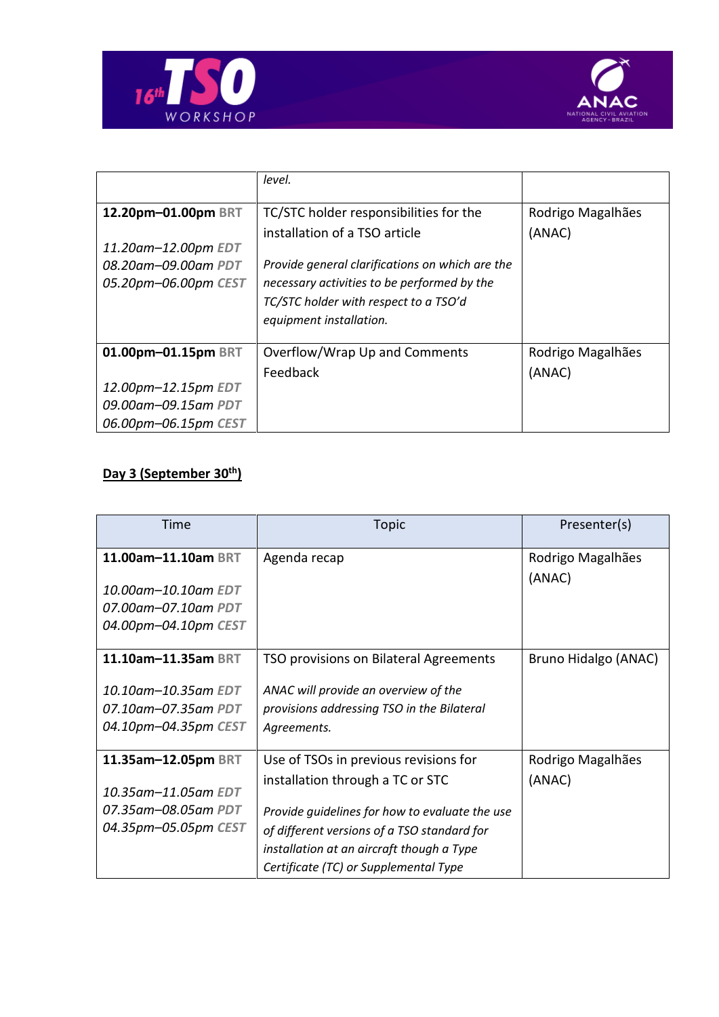



|                      | level.                                          |                   |
|----------------------|-------------------------------------------------|-------------------|
| 12.20pm-01.00pm BRT  | TC/STC holder responsibilities for the          | Rodrigo Magalhães |
|                      | installation of a TSO article                   | (ANAC)            |
| 11.20am-12.00pm EDT  |                                                 |                   |
| 08.20am-09.00am PDT  | Provide general clarifications on which are the |                   |
| 05.20pm-06.00pm CEST | necessary activities to be performed by the     |                   |
|                      | TC/STC holder with respect to a TSO'd           |                   |
|                      | equipment installation.                         |                   |
|                      |                                                 |                   |
| 01.00pm-01.15pm BRT  | Overflow/Wrap Up and Comments                   | Rodrigo Magalhães |
|                      | Feedback                                        | (ANAC)            |
| 12.00pm-12.15pm EDT  |                                                 |                   |
| 09.00am-09.15am PDT  |                                                 |                   |
| 06.00pm-06.15pm CEST |                                                 |                   |

## **Day 3 (September 30th)**

| Time                 | <b>Topic</b>                                   | Presenter(s)         |
|----------------------|------------------------------------------------|----------------------|
| 11.00am-11.10am BRT  | Agenda recap                                   | Rodrigo Magalhães    |
|                      |                                                | (ANAC)               |
| 10.00am-10.10am EDT  |                                                |                      |
| 07.00am-07.10am PDT  |                                                |                      |
| 04.00pm-04.10pm CEST |                                                |                      |
|                      |                                                |                      |
| 11.10am-11.35am BRT  | TSO provisions on Bilateral Agreements         | Bruno Hidalgo (ANAC) |
| 10.10am-10.35am EDT  | ANAC will provide an overview of the           |                      |
|                      |                                                |                      |
| 07.10am-07.35am PDT  | provisions addressing TSO in the Bilateral     |                      |
| 04.10pm-04.35pm CEST | Agreements.                                    |                      |
| 11.35am-12.05pm BRT  | Use of TSOs in previous revisions for          | Rodrigo Magalhães    |
|                      | installation through a TC or STC               | (ANAC)               |
| 10.35am-11.05am EDT  |                                                |                      |
| 07.35am-08.05am PDT  | Provide guidelines for how to evaluate the use |                      |
| 04.35pm-05.05pm CEST | of different versions of a TSO standard for    |                      |
|                      | installation at an aircraft though a Type      |                      |
|                      | Certificate (TC) or Supplemental Type          |                      |